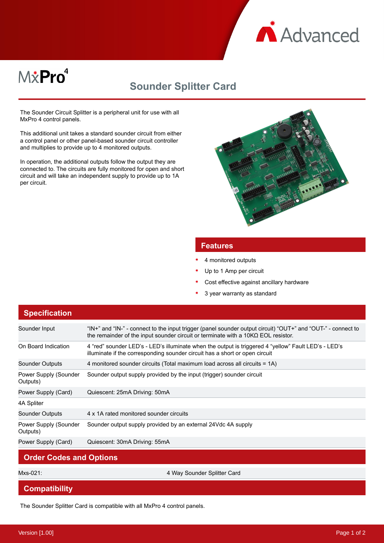

# M&Pro<sup>4</sup>

# **Sounder Splitter Card**

The Sounder Circuit Splitter is a peripheral unit for use with all MxPro 4 control panels.

This additional unit takes a standard sounder circuit from either a control panel or other panel-based sounder circuit controller and multiplies to provide up to 4 monitored outputs.

In operation, the additional outputs follow the output they are connected to. The circuits are fully monitored for open and short circuit and will take an independent supply to provide up to 1A per circuit.



## **Features**

- 4 monitored outputs
- Up to 1 Amp per circuit
- Cost effective against ancillary hardware
- 3 year warranty as standard

# **Specification**

| Sounder Input                     | "IN+" and "IN-" - connect to the input trigger (panel sounder output circuit) "OUT+" and "OUT-" - connect to<br>the remainder of the input sounder circuit or terminate with a $10K\Omega$ EOL resistor. |
|-----------------------------------|----------------------------------------------------------------------------------------------------------------------------------------------------------------------------------------------------------|
| On Board Indication               | 4 "red" sounder LED's - LED's illuminate when the output is triggered 4 "yellow" Fault LED's - LED's<br>illuminate if the corresponding sounder circuit has a short or open circuit                      |
| Sounder Outputs                   | 4 monitored sounder circuits (Total maximum load across all circuits = 1A)                                                                                                                               |
| Power Supply (Sounder<br>Outputs) | Sounder output supply provided by the input (trigger) sounder circuit                                                                                                                                    |
| Power Supply (Card)               | Quiescent: 25mA Driving: 50mA                                                                                                                                                                            |
| 4A Spliter                        |                                                                                                                                                                                                          |
| Sounder Outputs                   | 4 x 1A rated monitored sounder circuits                                                                                                                                                                  |
| Power Supply (Sounder<br>Outputs) | Sounder output supply provided by an external 24Vdc 4A supply                                                                                                                                            |
| Power Supply (Card)               | Quiescent: 30mA Driving: 55mA                                                                                                                                                                            |
| <b>Order Codes and Options</b>    |                                                                                                                                                                                                          |

Mxs-021: 4 Way Sounder Splitter Card

#### **Compatibility**

The Sounder Splitter Card is compatible with all MxPro 4 control panels.